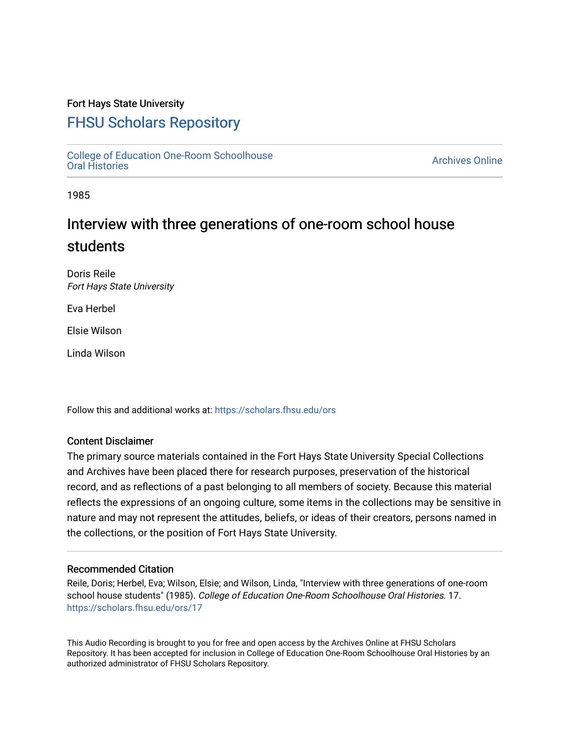## Fort Hays State University

# [FHSU Scholars Repository](https://scholars.fhsu.edu/)

[College of Education One-Room Schoolhouse](https://scholars.fhsu.edu/ors)<br>Oral Histories College of Education Orle-Room Schoolhouse<br>[Oral Histories](https://scholars.fhsu.edu/ors) Archives Online

1985

# Interview with three generations of one-room school house students

Doris Reile Fort Hays State University

Eva Herbel

Elsie Wilson

Linda Wilson

Follow this and additional works at: [https://scholars.fhsu.edu/ors](https://scholars.fhsu.edu/ors?utm_source=scholars.fhsu.edu%2Fors%2F17&utm_medium=PDF&utm_campaign=PDFCoverPages) 

### Content Disclaimer

The primary source materials contained in the Fort Hays State University Special Collections and Archives have been placed there for research purposes, preservation of the historical record, and as reflections of a past belonging to all members of society. Because this material reflects the expressions of an ongoing culture, some items in the collections may be sensitive in nature and may not represent the attitudes, beliefs, or ideas of their creators, persons named in the collections, or the position of Fort Hays State University.

#### Recommended Citation

Reile, Doris; Herbel, Eva; Wilson, Elsie; and Wilson, Linda, "Interview with three generations of one-room school house students" (1985). College of Education One-Room Schoolhouse Oral Histories. 17. [https://scholars.fhsu.edu/ors/17](https://scholars.fhsu.edu/ors/17?utm_source=scholars.fhsu.edu%2Fors%2F17&utm_medium=PDF&utm_campaign=PDFCoverPages)

This Audio Recording is brought to you for free and open access by the Archives Online at FHSU Scholars Repository. It has been accepted for inclusion in College of Education One-Room Schoolhouse Oral Histories by an authorized administrator of FHSU Scholars Repository.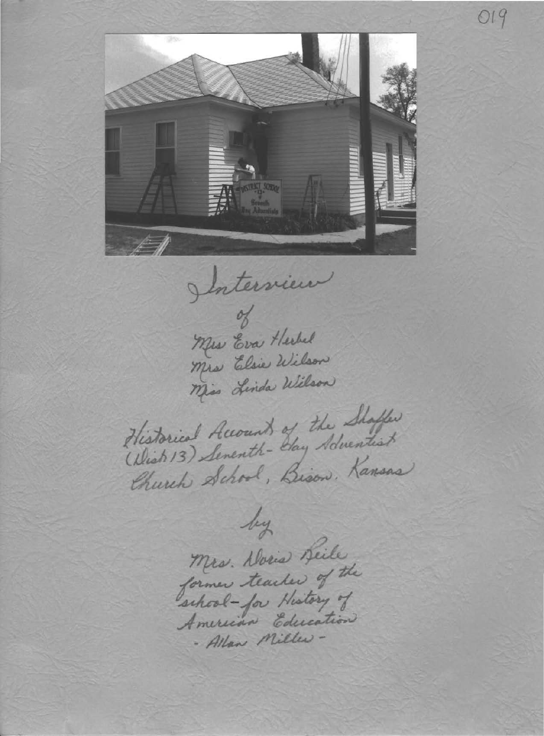

019

Interview

Mrs Eva Herbel Mrs Elsie Wilson Miss Linda Wilson

Historical Accounts of the Shaffer (Which 13) Seventh- Say Adventist Church School, Bison, Kansas

by Mrs. Doris Beile former teacher of the school-for History of American Education - Allan Miller -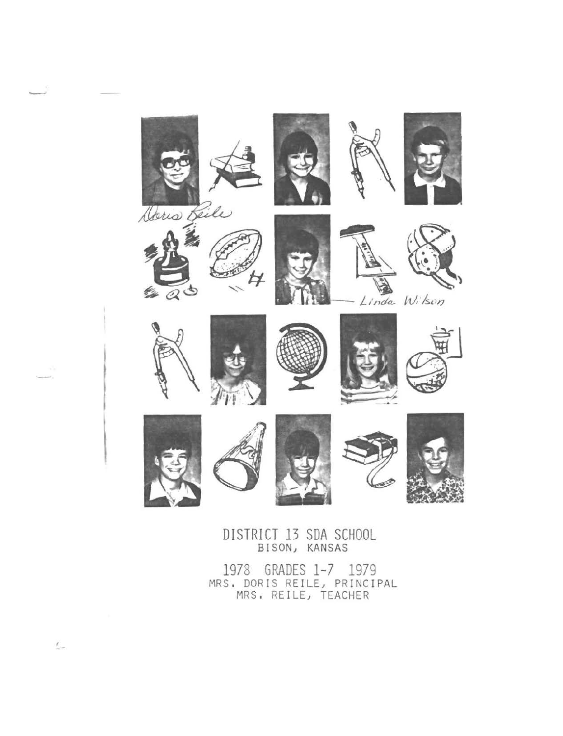

DISTRICT 13 SDA SCHOOL BISON) KANSAS

1978 GRADES 1-7 1979 MRS, DORIS REILE, PRINCIPAL MRS. REILE, TEACHER

 $\overline{\phantom{a}}$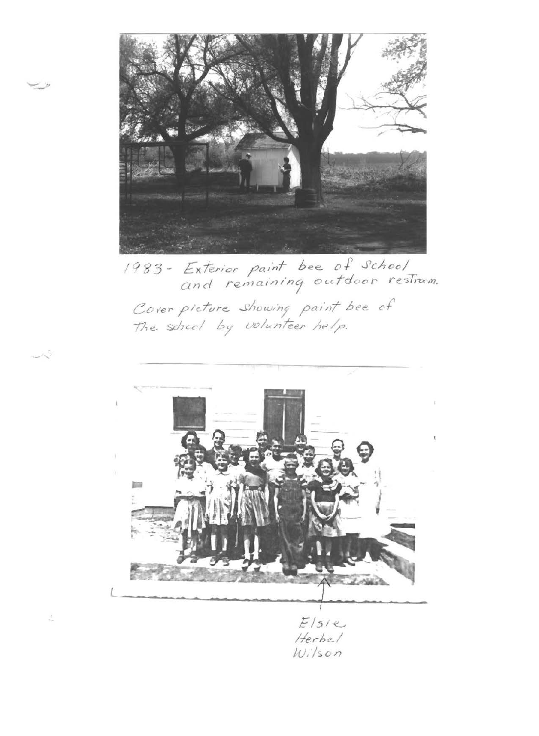

/ *q 8 3* - *£x 1er/or ;:>e1/nT bee.. {) f ,J'c/200/*  and remaining outdoor restrum.

Cover picture showing paint bee of The school by volunteer help.



Ł.

فيكر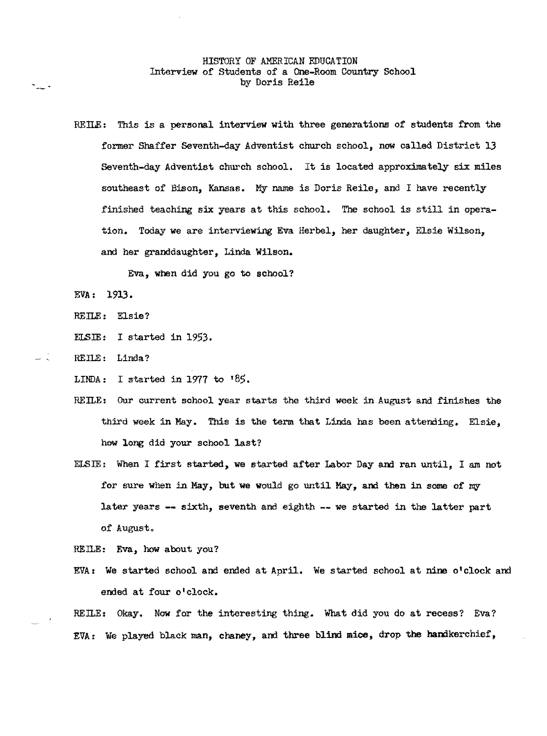#### HISTORY OF AMERICAN EDUCATION Interview of Students of a One-Room Country School by Doris Reile

REILE: This is a personal interview with three generations of students from the former Shaffer Seventh-day Adventist church school, now called District l3 Seventh-day Adventist church school. It is located approximately six miles southeast of Bison, Kansas. My name is Doris Reile, and I have recently finished teaching six years at this school. The school is still in operation. Today we are interviewing Eva Herbel, her daughter, Elsie Wilson, and her granddaughter, Linda Wilson.

Eva, **when** did you go to school?

EVA: 1913.

REILE: Elsie?

ELSIE: I started in 1953.

REILE: Linda?

LINDA: I started in 1977 to  $185$ .

- REILE: Our current school year starts the third week in August and finishes the third week in May. This is the term that Linda has been attending. Elsie, how long did your school last?
- ELSIE: When I first started, we started after Labor Day am ran until, I am not for sure when in May, but we would go until May, and then in some of my later years  $-$  sixth, seventh and eighth  $-$  we started in the latter part of August.

REILE: Eva, how about you?

EVA: We started school and ended at April, We started school at nine o'clock and ended at four o'clock.

REILE: Okay. Now for the interesting thing. What did you do at recess? Eva? EVA: We played black man, chaney, and three blind mice, drop the handkerchief,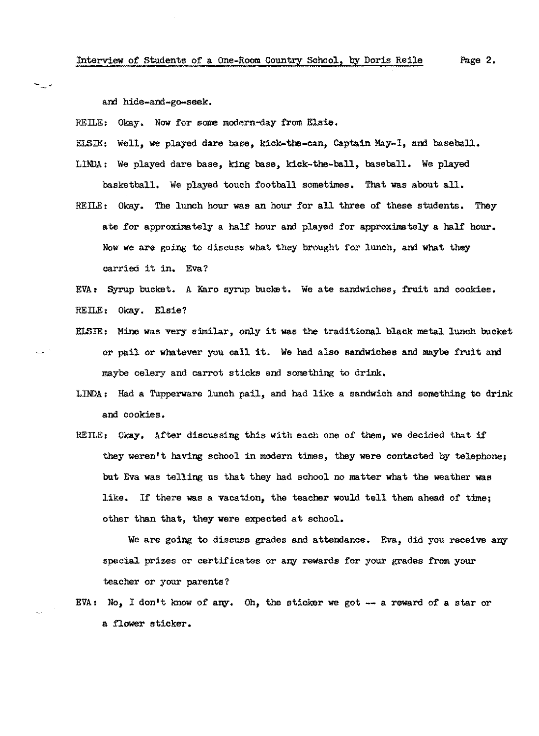and hide-and-go-seek.

∽\_-

REILE: Okay. Now for some modern-day from Elsie.

ELSIE: Well, we played dare base, kick-the-can, Captain May-I, and baseball.

- LINDA: We played dare base, king base, kick-the-ball, baseball. We played basketball, We played touch football sometimes. That was about all.
- REILE: Okay. The lunch hour was an hour for all three of these students. They ate for approximately a half hour and played for approximately a half hour. Now we are going to discuss what they brought for lunch, and what they carried it in. Eva?

EVA: Syrup bucket. A Karo syrup bucket. We ate sandwiches, fruit and cookies. REILE: Okay. Elsie?

- ELSIE: Mine was very similar, only it was the traditional black metal lunch bucket or pail or whatever you call it. We had also sandwiches and maybe fruit and maybe celery and carrot sticks and something to drink.
- LINDA: Had a Tupperware lunch pail, and had like a sandwich and something to drink and cookies,
- REILE: Okay. After discussing this with each one of them, we decided that if they weren't having school in modern times, they were contacted by telephone; but Eva was telling us that they had school no matter what the weather was like. If there was a vacation, the teacher would tell them ahead of time; other than that, they were expected at school.

We are going to discuss grades and attendance. Eva, did you receive any special prizes or certificates or any rewards for your grades from your teacher or your parents?

EVA: No, I don't know of any. Oh, the sticker we got  $-$  a reward of a star or a flower sticker.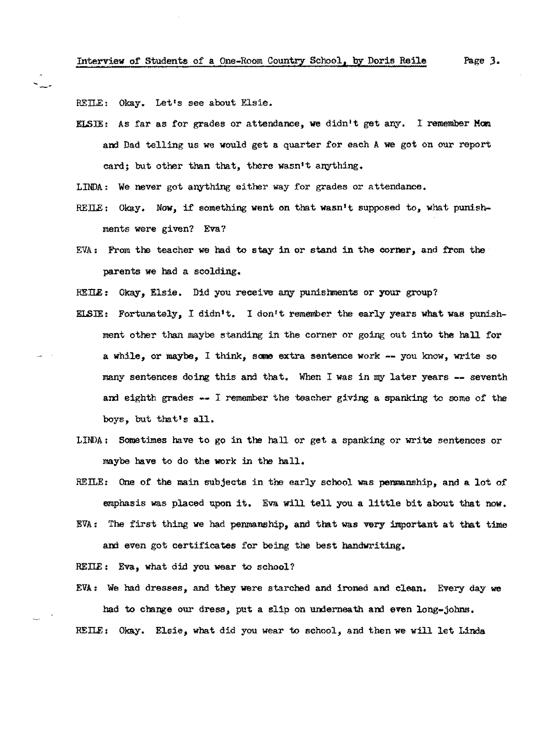REILE: Okav. Let's see about Elsie.

ELSIE: As far as for grades or attendance, **we** didn•t get any. I remember **Mom**  and Dad telling us we would get a quarter for each A we got on our report card; but other than that, there wasn't anything.

LINDA: We never got anything either way for grades or attendance.

- REILE: Okay. Now, if something went on that wasn't supposed to, what punishments were given? Eva?
- EVA: From the teacher we had to stay in or stand in the corner, and from the parents we had a scolding.

RETIE: Okay, Elsie. Did you receive any punishments or your group?

- ELSJE: Fortunately, I didn1 t. I don't remember the early years what was punishment other than maybe standing in the corner or going out into the hall for a while, or maybe, I think, **sane** extra sentence work -- you know, write so many sentences doing this and that. When I was in my later years -- seventh and eighth grades -- I remember the teacher giving a spanking to some of the boys, but that's all.
- LINDA: Sometimes have to go in the hall or get a spanking or write sentences or maybe have to do the work in the hall,
- REILE: One of the main subjects in the early school was penmanship, and a lot of emphasis was placed upon it. Eva will tell you a little bit about that now. EVA: The first thing we had penmanship, and that was very important at that time and even got certificates for being the best handwriting.

REILE: Eva, what did you wear to school?

EVA : We had dresses, and they were starched and ironed and clean. Every day we had to change our dress, put a slip on underneath and even long-johns. REILE: Okay. Elsie, what did you wear to school, and then we will let Linda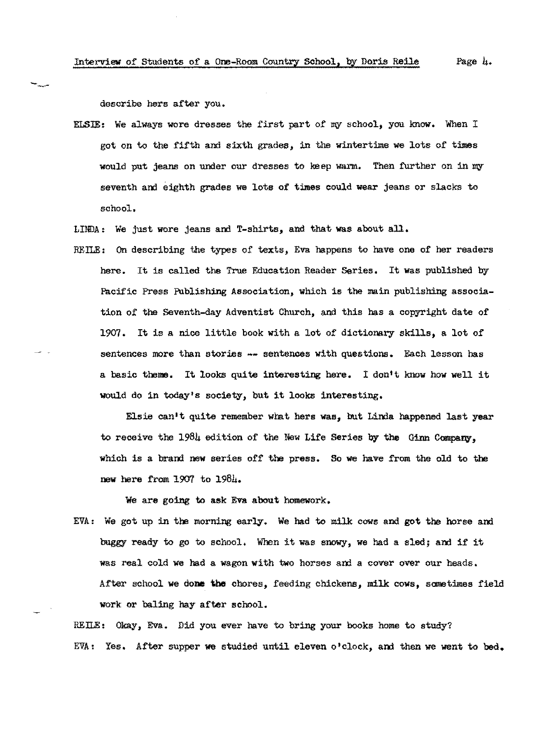describe hers after you.

- ELSlE: We always wore dresses the first part of my school, you know. When I got on to the fifth and sixth grades, in the wintertime we lots of times would put jeans on under our dresses to keep warm. Then further on in my seventh and eighth grades we lots of times could wear jeans or slacks to school.
- LINDA: We just wore jeans and T-shirts, and that was about all.
- REILE: On describing the types of texts, Eva happens to have one of her readers here. It is called the True Education Reader Series, It was published by Pacific Press Publishing Association, which is the main publishing association of the Seventh-day Adventist Church, and this has a copyright date of 1907. It is a nice little book with a lot of dictionary skills, a lot of sentences more than stories -- sentences with questions. Each lesson has a basic **theme.** It looks quite interesting here. I don•t know how well it would do in today's society, but it looks interesting.

Elsie can't quite remember what hers was, but Linda happened last year to receive the  $198\mu$  edition of the New Life Series by the Ginn Company, which is a brand new series off the press. So we have from the old to the new here from 1907 to 1984.

We are going to ask Eva about homework.

EVA : We got up in the morning early. We had to milk cows and got the horse and buggy ready to go to school, When it was snowy, we had a sled; and if it was real cold we had a wagon with two horses and a cover over our heads. After school we done the chores, feeding chickens, milk cows, sometimes field work or baling hay after school.

REILE: Okay, Eva. Did you ever have to bring your books home to study? EVA: Yes. After supper we studied until eleven o'clock, and then we went to bed.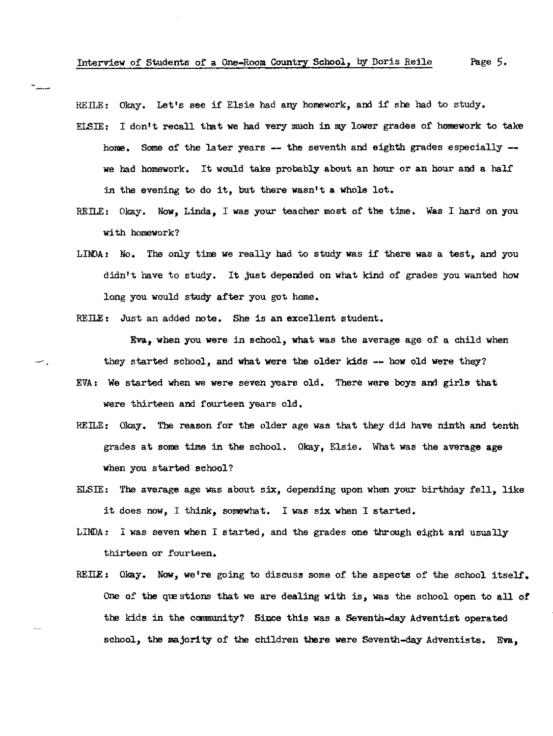REILE: Okay. Let's see if Elsie had any homework, and if she had to study.

- ELSIE: I don<sup>t</sup>t recall that we had very much in my lower grades of homework to take home. Some of the later years  $-$  the seventh and eighth grades especially  $$ **we** had homework. It would take probably about an hour or **an** hour and a half in the evening to do it, but there wasn't **a whole** lot,
- REILE: Okay. Now, Linda, I was your teacher most of the time, **Was** I hard on you with homework?
- LINDA: No. The only time we really had to study was if there was a test, and you didn't have to study. It just depended on what kind of grades you wanted how long you would study after you got home.
- REILE: Just an added note. She is an excellent student.

**Eva, when** you **were** in school, what was the average age of a child when they started school, and what were the older kids -- how old were they? EVA: We started when we were seven years old. There were boys and girls that

were thirteen and fourteen years old,

- REILE: Okay. The reason for the older age was that they did have ninth and tenth grades at some time in the school. Okay, Elsie. What was the average **age**  when you started school?
- ELSIE: The average age was about six, depending upon when your birthday fell. like it does now, I think, somewhat, I was six when I started,
- LINDA: I was seven when I started, and the grades one through eight and usually thirteen or fourteen,
- REILE: Okay. Now, we're going to discuss some of the aspects of the school itself. One of the questions that we are dealing with is, was the school open to all of the kids in the canmunity? Since this was a Seventh-day Adventist operated school, the majority of the children there were Seventh-day Adventists. Eva,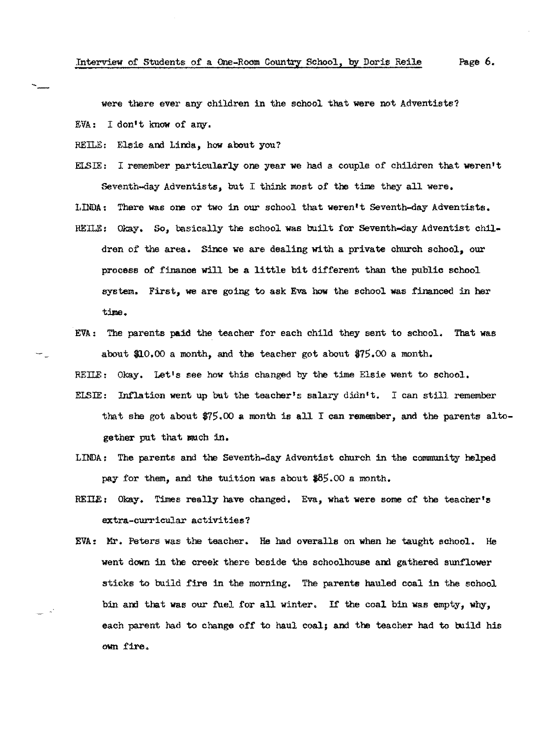were there ever any children in the school that were not Adventists? EVA: I don•t know of any.

REILE: Elsie and Linda, how about you?

ELSIE: I remember particularly one year we had a couple of children that weren't Seventh-day Adventists, but I think most of the time they all were. LINDA: There was ore or two in our school that weren't Seventh-day Adventists. REILE: Okay, *So,* basically the school was built for Seventh-day Adventist chil-

- dren of the area. Since we are dealing with a private church school, our process of finance **will** be a little bit different than the public school system. First, we are going to ask Eva how the school was financed in her time.
- EVA: The parents paid the teacher for each child they sent to school. That was about \$J.O,OO a month, and the teacher got about \$75.00 a month.

REILE: Okay. Let's see how this changed by the time Elsie went to school.

- ELSIE: Inflation went up but the teacher's salary didn't. I can still remember that she got about  $\frac{275}{00}$  a month is all I can remember, and the parents altogether put that much in.
- LINDA: The parents and the Seventh-day Adventist church in the community helped pay for them, and the tuition was about \$85.OO a month.
- REILE: Okay. Times really have changed, Eva, what were some of the teacher's extra-curricular activities?
- EVA: Mr. Peters was the teacher. He had overalls on when he taught school. He went down in the creek there beside the schoolhouse and gathered sunflower sticks to build fire in the morning. The parents hauled coal in the school bin and that was our fuel for all winter. If the coal bin was empty, why, each parent had to change off to haul coal; and the teacher had to build his **own £ire.**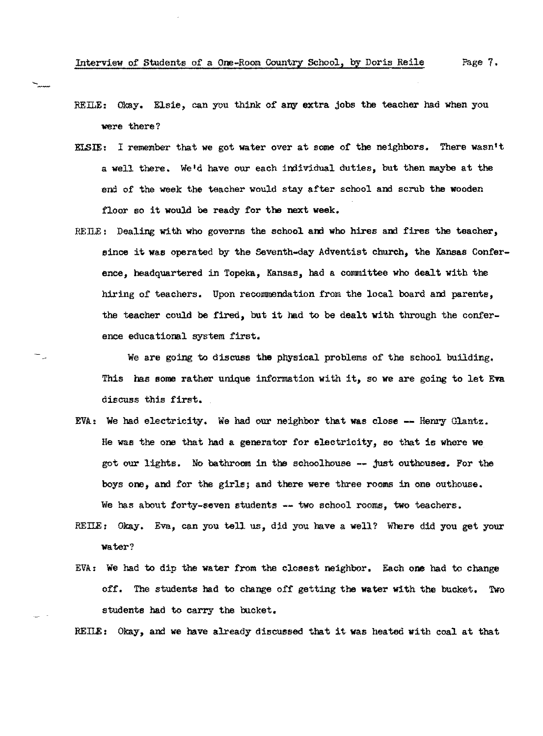- REILE: Okay. Elsie, can you think of any extra jobs the teacher had when you were there?
- ELSIE: I remember that **we** got water over at some of the neighbors, There wasn't a well there. We'd have our each individual duties, but then maybe at the end of the week the teacher would stay after school and scrub the wooden floor so it would be ready for the next week.
- RETIE: Dealing with **who** governs the school **and who** hires and fires the teacher, since it was operated by the Seventh-day Adventist church, the Kansas Conference, headquartered in Topeka, Kansas, had a committee who dealt with the hiring of teachers. Upon recommendation from the local board and parents. the teacher could be fired, but it had to be dealt with through the conference educational system first.

We are going to discuss **the** physical problems of the school building, This has **11ome** rather unique information with it, so **we** are going to let **Eva**  discuss this first.

- EVA: We had electricity. We had our neighbor that was close  $-$  Henry Glantz. He was the one that had a generator for electricity, so that is where we got our lights. No bathroom in the schoolhouse -- just outhouses. For the boys one, and for the girls; and there were three rooms in one outhouse. We has about forty-seven students -- two school rooms, two teachers.
- RETIE: Okay. Eva, can you tell us, did you have a well? Where did you get your water?
- EVA: We had to dip the water from the closest neighbor. Each one had to change off. The students had to change off getting the water with the bucket. Two students had to carry the bucket.

REILE: Okay, and we have already discussed that it was heated with coal at that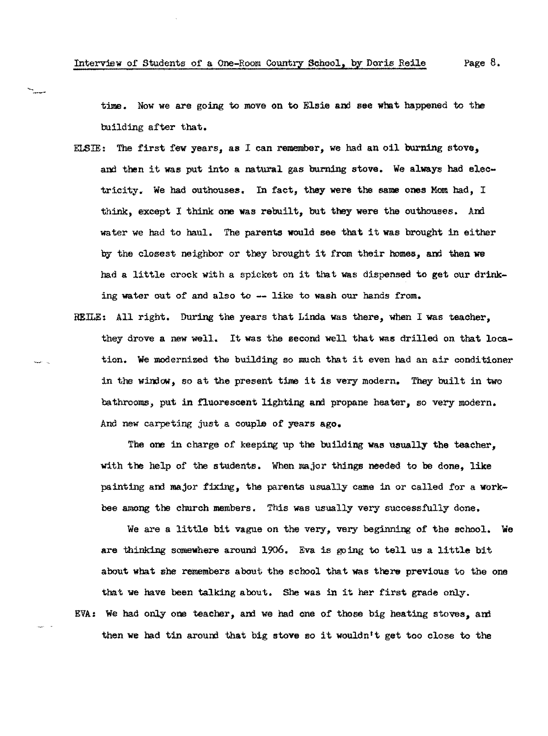time. Now we are going to move on to Elsie and see what happened to the building after that,

- ELSIE: The first few years, as I can remember, we had an oil burning stove, and then it was put into a natural gas burning stove. We always had electricity. We had outhouses. In fact, they were the same ones Mom had, I think, except I think one was rebuilt, but they were the outhouses. And water we had to haul. The parents would see that it was brought in either by the closest neighbor or they brought it from their homes, and then we bad a little crock with a spicket on it that was dispensed to get our drinking water out of and also to -- like to wash our hands from.
- REILE: All right. During the years that Linda was there, when I was teacher, they drove a new well, It was the second well that was drilled on that location. We modernized the building so much that it even had an air conditioner in the window-, so at the present time it is veey modern, They built in two bathrooms, put in fluorescent lighting and propane heater, so very modern. And new carpeting just a couple of years ago,

The one in charge of keeping up the building **was** usually the teacher, with the help of the students. When major things needed to **be** done, like painting and major fixing, the parents usually came in or called for a workbee among the church members. This was usually very successfully done,

We are a little bit vague on the very, very beginning of the school, **We**  are thinking somewhere around 1906. Eva is going to tell us a little bit about what she remembers about the school that was there previous to the one that we have been talking about. She was in it her first grade oniy. EVA: We had only one teacher, and we had one of those big heating stoves, and then we had tin around that big stove so it wouldn<sup>t</sup>t get too close to the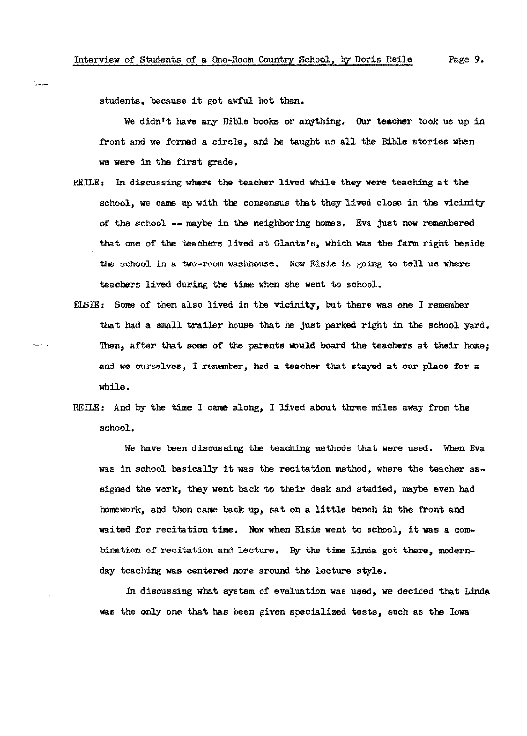students, because it got awful hot then.

We didn't have any Bible books or anything. Our teacher took us up in front and we formed a circle, and he taught us all the Bible stories when we were in the first grade.

- REILE: In discussing where the teacher lived while they were teaching at the school, we came up with the consensus that they lived close in the vicinity of the school -- maybe in the neighboring homes, Eva just now remembered that one of the teachers lived at Glantz's, which was the farm right beside the school in a two-room washhouse, Now Elsie is going to tell us where teachers lived during the time when she went to school.
- ELSIE: Some of them also lived in the vicinity, but there was one I remember that had a small trailer house that he just parked right in the school yard. Then, after that some of the parents would board the teachers at their home; and we ourselves, I remember, had a teacher that stayed at our place for a while,
- REILE: And by the time I came along, I lived about three miles away from the school.

We have been discussing the teaching methods that were used. When Eva was in school basically it was the recitation method, where the teacher assigned the work, they went back to their desk and studied, maybe even had homework, and then came back up, sat on a little bench in the front and waited for recitation time. Now when Elsie went to school, it was a combination of recitation and lecture. By the time Linda got there, modernday teaching was centered more around the lecture style.

In discussing what system of evaluation was used, we decided that Linda was the only one that has been given specialized tests, such as the Iowa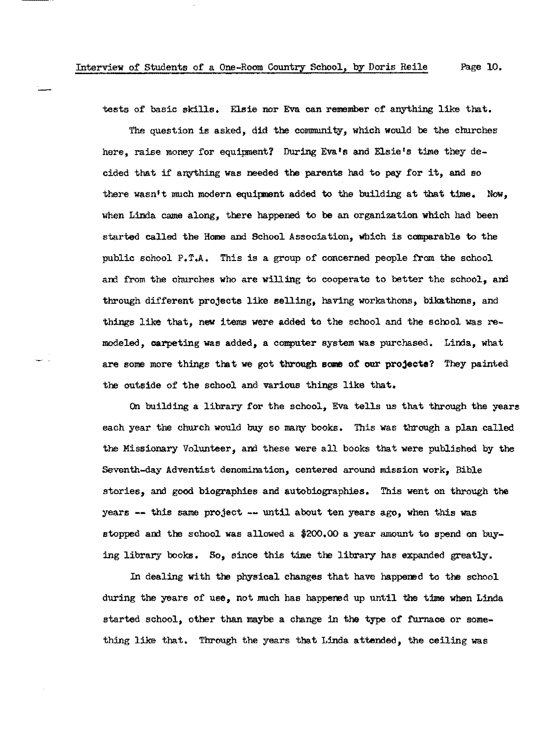tests of basic skills. Elsie nor Eva can remember of anything like that.

The question is asked, did the community, which would be the churches here, raise money for equipment? During Eva's and Elsie's time they decided that if anything was needed the parents had to pay for it, and so there wasn't much modern equipment added to the building at that time. Now, when Linda came along, there happened to be an organization which had been started called the Home and School Association, which is comparable to the public school P.T.A, This is a group of concerned people from the school and from the churches who are willing to cooperate to better the school, and through different projects like selling, having workathons, bikathons, and things like that, new items were added to the school and the school was remodeled, carpeting was added, a computer system was purchased. Lima, what are some more things that we got through some of our projects? They painted the outside of the school and various things like that.

On building a library for the school, Eva tells us that through the years each year the church would buy so many books. This was through a plan called the Missionary Volunteer, and these were all books that were published by the Seventh-day Adventist denomination, centered around mission work, Bible stories, and good biographies and autobiographies. This went on through the years -- this same project -- until about ten years ago, when this was stopped and the school was allowed a \$200,00 a year amount to spend on buying library books. So, since this time the library has expanded greatly.

In dealing with the physical changes that have happened to the school during the years of use, not much has happened up until the time when Linda started school, other than maybe a change in the type of furnace or something like that. Through the years that Linda attended, the ceiling was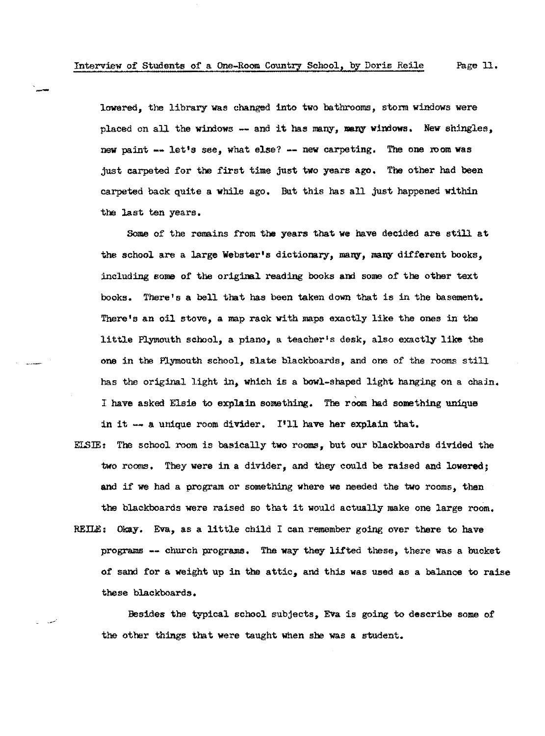lowered, the library was changed into two bathrooms, storm windows were placed on all the windows -- and it has many, many windows. New shingles, new paint -- let's see, what else? -- new carpeting. The one room was just carpeted for the first time just two years ago, The other had been carpeted back quite a while ago. But this has all just happened within the last ten years.

Some of the remains from the years that **we** have decided are still at the school are a large Webster's dictionary, many, many different books, including some of the original reading books **and** some of the other text books. There's a bell that has been taken down that is in the basement. There's an oil stove, a map rack with maps exactly like the ones in the little Plymouth school, a piano, a teacher's desk, also exactly like the one in the Plymouth school, slate blackboards, and one of the rooms still has the original light in, which is a bowl-shaped light hanging on a chain. I have asked Elsie to explain something, The room had something unique in it -- a unique room divider. I'll have her explain that.

ELSIE: The school room is basically **two** rooms, but our blackboards divided the two rooms. They were in a divider, and they could be raised and lowered; and if we had a program or something where we needed the two rooms, then the blackboards were raised so that it would actually make one large room, REILE: Okay. Eva, as a little child I can remember going over there to have programs -- church programs. The way they lifted these, there was a bucket of sand for a weight up in the attic, and this was used as a balance to raise these blackboards,

Besides the typical school subjects, Eva is going to describe some of the other things that were taught when she was a student.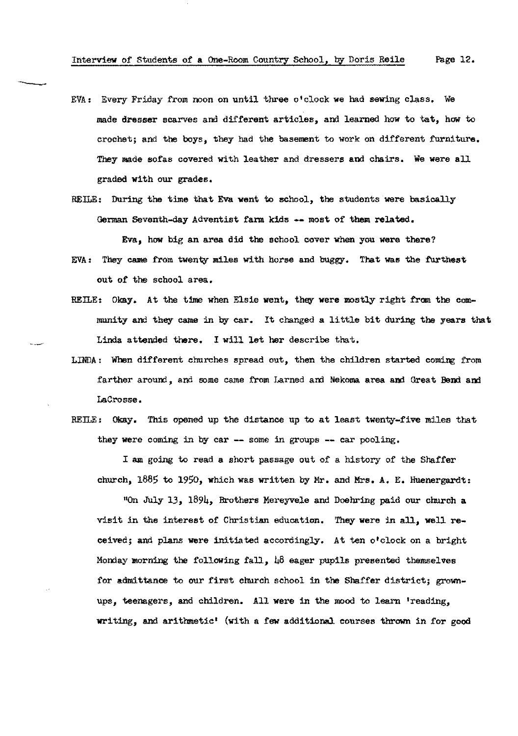- EVA: Every Friday from noon on until three o'clock we had sewing class. We made dresser scarves and different articles, and learned how to tat, how to crochet; and the boys, they had the basement to work on different furniture. They made sofas covered with leather and dressers and chairs. We were all graded with our grades.
- REILE: During the time that Eva went to school, the students were basically German Seventh-day Adventist farm kids -- most of them related.

Eva, how big an area did the school cover when you were there?

- EVA: They came from twenty miles with horse and buggy. That was the furthest out of the school area.
- REILE: Okay. At the time when Elsie went, they were mostly right from the community and they came in by car. It changed a little bit during the years that Linda attended there. I will let her describe that.
- $LINDA:$  When different churches spread out, then the children started coming from farther around, and some came from Larned and Nekoma area and Great Bend and Lacrosse,
- RETLE: Okay. This opened up the distance up to at least twenty-five miles that they were coming in by car -- some in groups -- car pooling.

I am going to read a short passage out of a history of the Shaffer church, 1885 to 1950, which was written by Mr. and Mrs, A. E, Huenergardt:

"On July 13, 1894, Brothers Mereyvele and Doehring paid our church a visit in the interest of Christian education. They were in all, well received; and plans were initiated accordingly. At ten o'clock on a bright Monday morning the following fall,  $\mu\delta$  eager pupils presented themselves for admittance to our first church school in the Shaffer district; grownups, teenagers, and children. All were in the mood to learn 'reading. writing, and arithmetic' (with a few additional courses thrown in £or good